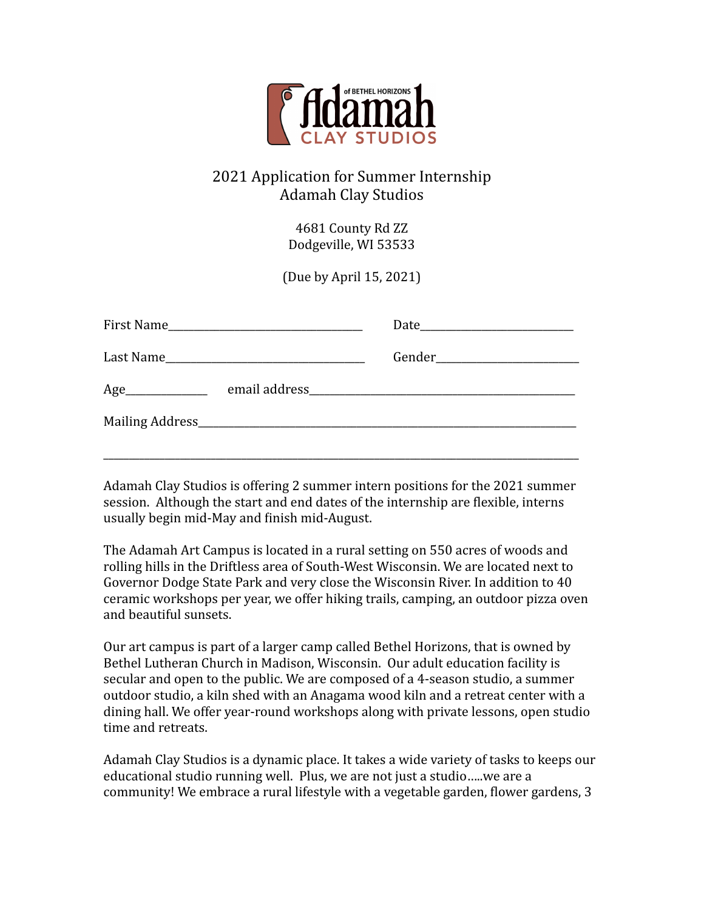

# 2021 Application for Summer Internship Adamah Clay Studios

4681 County Rd ZZ Dodgeville, WI 53533

(Due by April 15, 2021)

Adamah Clay Studios is offering 2 summer intern positions for the 2021 summer session. Although the start and end dates of the internship are flexible, interns usually begin mid-May and finish mid-August.

The Adamah Art Campus is located in a rural setting on 550 acres of woods and rolling hills in the Driftless area of South-West Wisconsin. We are located next to Governor Dodge State Park and very close the Wisconsin River. In addition to 40 ceramic workshops per year, we offer hiking trails, camping, an outdoor pizza oven and beautiful sunsets.

Our art campus is part of a larger camp called Bethel Horizons, that is owned by Bethel Lutheran Church in Madison, Wisconsin. Our adult education facility is secular and open to the public. We are composed of a 4-season studio, a summer outdoor studio, a kiln shed with an Anagama wood kiln and a retreat center with a dining hall. We offer year-round workshops along with private lessons, open studio time and retreats.

Adamah Clay Studios is a dynamic place. It takes a wide variety of tasks to keeps our educational studio running well. Plus, we are not just a studio.....we are a community! We embrace a rural lifestyle with a vegetable garden, flower gardens, 3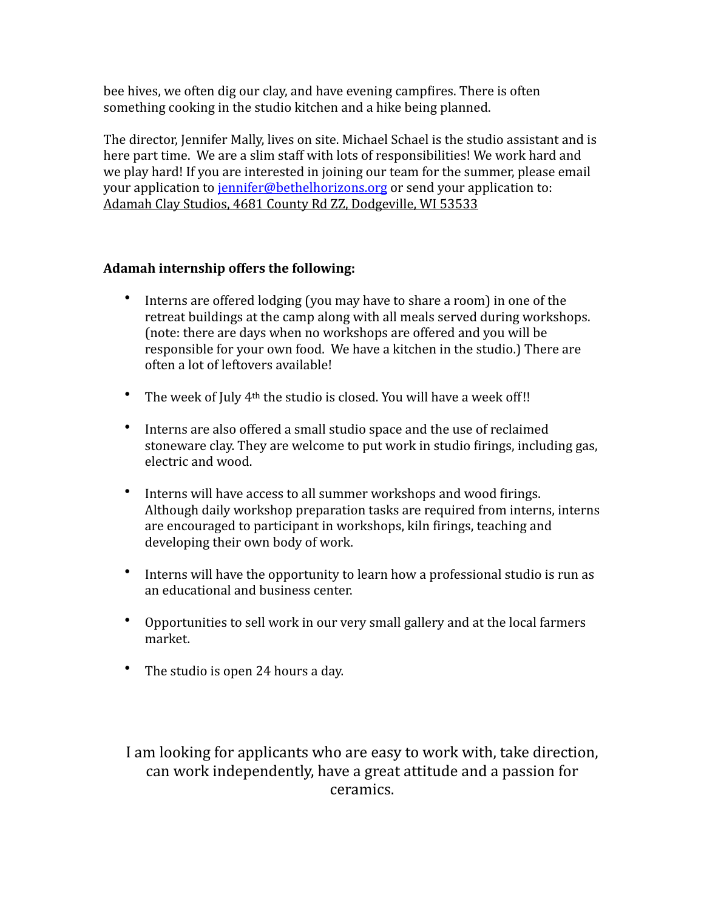bee hives, we often dig our clay, and have evening campfires. There is often something cooking in the studio kitchen and a hike being planned.

The director, Jennifer Mally, lives on site. Michael Schael is the studio assistant and is here part time. We are a slim staff with lots of responsibilities! We work hard and we play hard! If you are interested in joining our team for the summer, please email your application to jennifer@bethelhorizons.org or send your application to: Adamah Clay Studios, 4681 County Rd ZZ, Dodgeville, WI 53533

#### Adamah internship offers the following:

- Interns are offered lodging (you may have to share a room) in one of the retreat buildings at the camp along with all meals served during workshops. (note: there are days when no workshops are offered and you will be responsible for your own food. We have a kitchen in the studio.) There are often a lot of leftovers available!
- The week of July  $4<sup>th</sup>$  the studio is closed. You will have a week off!!
- Interns are also offered a small studio space and the use of reclaimed stoneware clay. They are welcome to put work in studio firings, including gas, electric and wood.
- Interns will have access to all summer workshops and wood firings. Although daily workshop preparation tasks are required from interns, interns are encouraged to participant in workshops, kiln firings, teaching and developing their own body of work.
- Interns will have the opportunity to learn how a professional studio is run as an educational and business center.
- Opportunities to sell work in our very small gallery and at the local farmers market.
- The studio is open 24 hours a day.

I am looking for applicants who are easy to work with, take direction, can work independently, have a great attitude and a passion for ceramics.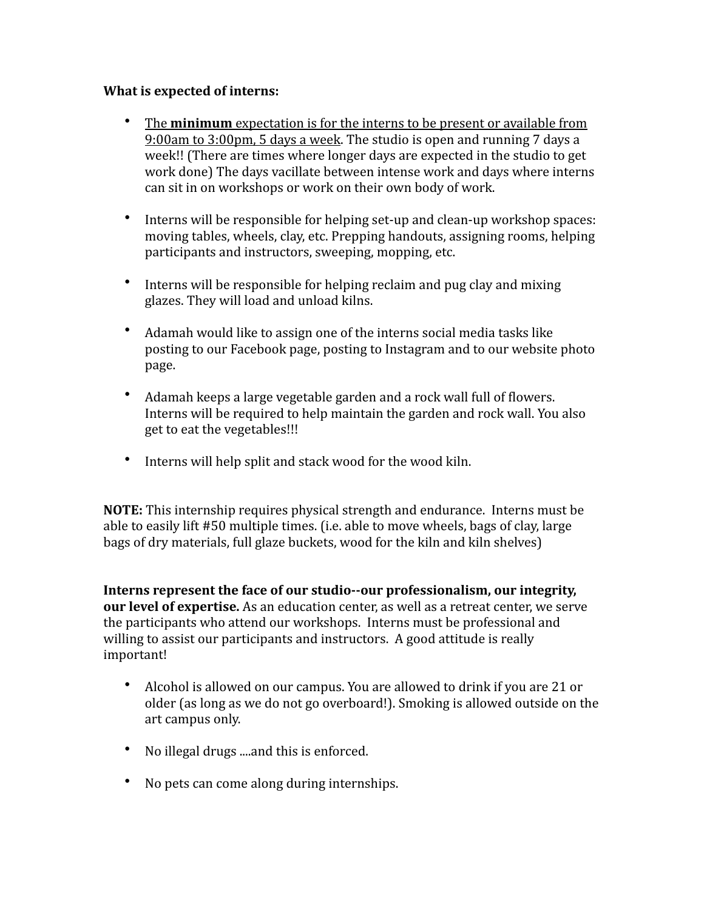#### **What is expected of interns:**

- The **minimum** expectation is for the interns to be present or available from 9:00am to  $3:00$ pm, 5 days a week. The studio is open and running  $7$  days a week!! (There are times where longer days are expected in the studio to get work done) The days vacillate between intense work and days where interns can sit in on workshops or work on their own body of work.
- Interns will be responsible for helping set-up and clean-up workshop spaces: moving tables, wheels, clay, etc. Prepping handouts, assigning rooms, helping participants and instructors, sweeping, mopping, etc.
- Interns will be responsible for helping reclaim and pug clay and mixing glazes. They will load and unload kilns.
- Adamah would like to assign one of the interns social media tasks like posting to our Facebook page, posting to Instagram and to our website photo page.
- Adamah keeps a large vegetable garden and a rock wall full of flowers. Interns will be required to help maintain the garden and rock wall. You also get to eat the vegetables!!!
- Interns will help split and stack wood for the wood kiln.

**NOTE:** This internship requires physical strength and endurance. Interns must be able to easily lift #50 multiple times. (i.e. able to move wheels, bags of clay, large bags of dry materials, full glaze buckets, wood for the kiln and kiln shelves)

**Interns represent the face of our studio--our professionalism, our integrity, our level of expertise.** As an education center, as well as a retreat center, we serve the participants who attend our workshops. Interns must be professional and willing to assist our participants and instructors. A good attitude is really important! 

- Alcohol is allowed on our campus. You are allowed to drink if you are 21 or older (as long as we do not go overboard!). Smoking is allowed outside on the art campus only.
- No illegal drugs ....and this is enforced.
- No pets can come along during internships.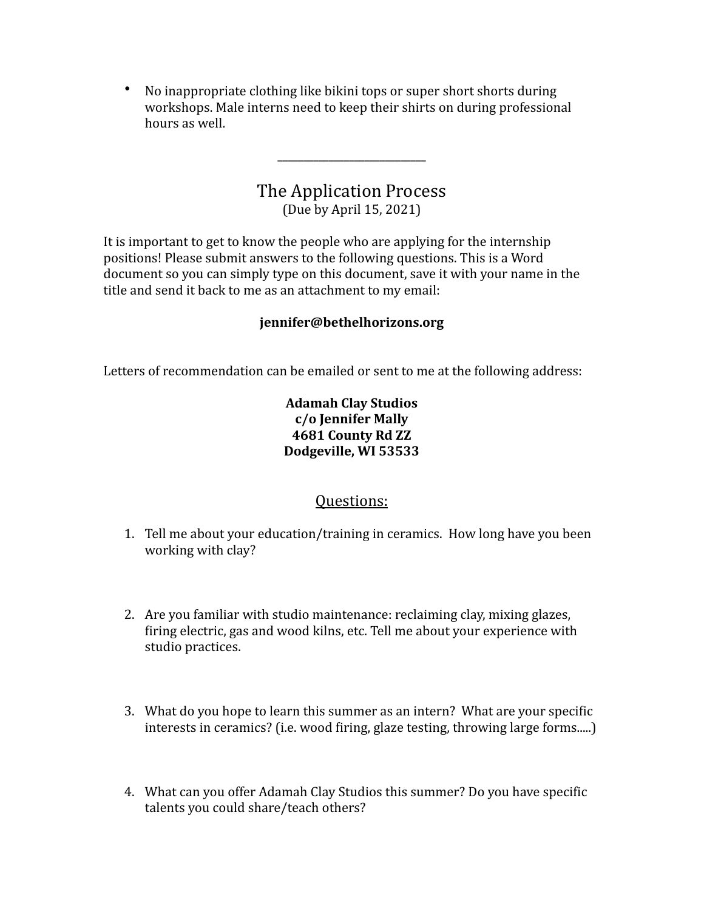• No inappropriate clothing like bikini tops or super short shorts during workshops. Male interns need to keep their shirts on during professional hours as well.

# The Application Process

\_\_\_\_\_\_\_\_\_\_\_\_\_\_\_\_\_\_\_\_\_\_\_\_\_\_\_\_\_ 

(Due by April 15, 2021)

It is important to get to know the people who are applying for the internship positions! Please submit answers to the following questions. This is a Word document so you can simply type on this document, save it with your name in the title and send it back to me as an attachment to my email:

#### **jennifer@bethelhorizons.org**

Letters of recommendation can be emailed or sent to me at the following address:

#### **Adamah Clay Studios c/o Jennifer Mally 4681 County Rd ZZ**  Dodgeville, WI 53533

### Questions:

- 1. Tell me about your education/training in ceramics. How long have you been working with clay?
- 2. Are you familiar with studio maintenance: reclaiming clay, mixing glazes, firing electric, gas and wood kilns, etc. Tell me about your experience with studio practices.
- 3. What do you hope to learn this summer as an intern? What are your specific interests in ceramics? (i.e. wood firing, glaze testing, throwing large forms.....)
- 4. What can you offer Adamah Clay Studios this summer? Do you have specific talents you could share/teach others?